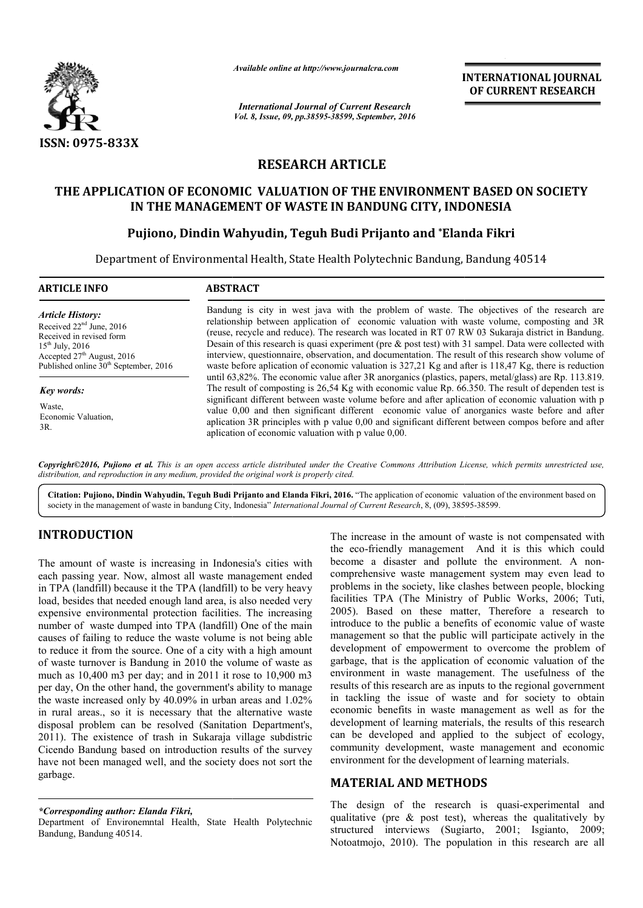

*Available online at http://www.journalcra.com*

*International Journal of Current Research Vol. 8, Issue, 09, pp.38595-38599, September, 2016* INTERNATIONAL JOURNAL OF CURRENT RESEARCH

# RESEARCH ARTICLE

# THE APPLICATION OF ECONOMIC VALUATION OF THE ENVIRONMENT BASED ON SOCIETY

# IN THE MANAGEMENT OF WASTE IN BANDUNG CITY, INDONESIA<br>Pujiono, Dindin Wahyudin, Teguh Budi Prijanto and \*Elanda Fikr Pujiono, Dindin Wahyudin, Teguh Budi Prijanto and \*Elanda Fikri

Department of Environmental Health, State Health Polytechnic Bandung, Bandung 40514 Polytechnic

| <b>ARTICLE INFO</b>                                                                                                                                                                                      | <b>ABSTRACT</b>                                                                                                                                                                                                                                                                                                                                                                                                                                                                                                                                                                                                                                                                                                                          |
|----------------------------------------------------------------------------------------------------------------------------------------------------------------------------------------------------------|------------------------------------------------------------------------------------------------------------------------------------------------------------------------------------------------------------------------------------------------------------------------------------------------------------------------------------------------------------------------------------------------------------------------------------------------------------------------------------------------------------------------------------------------------------------------------------------------------------------------------------------------------------------------------------------------------------------------------------------|
| <b>Article History:</b><br>Received $22nd$ June, 2016<br>Received in revised form<br>$15^{th}$ July, 2016<br>Accepted 27 <sup>th</sup> August, 2016<br>Published online 30 <sup>th</sup> September, 2016 | Bandung is city in west java with the problem of waste. The objectives of the research are<br>relationship between application of economic valuation with waste volume, composting and 3R<br>(reuse, recycle and reduce). The research was located in RT 07 RW 03 Sukaraja district in Bandung.<br>Desain of this research is quasi experiment (pre $\&$ post test) with 31 sampel. Data were collected with<br>interview, questionnaire, observation, and documentation. The result of this research show volume of<br>waste before aplication of economic valuation is $327,21$ Kg and after is 118,47 Kg, there is reduction<br>until 63,82%. The economic value after 3R anorganics (plastics, papers, metal/glass) are Rp. 113.819. |
| <b>Key words:</b><br>Waste,<br>Economic Valuation,<br>3R.                                                                                                                                                | The result of composting is 26,54 Kg with economic value Rp. 66.350. The result of dependen test is<br>significant different between waste volume before and after aplication of economic valuation with p<br>value 0,00 and then significant different economic value of anorganics waste before and after<br>aplication 3R principles with p value 0,00 and significant different between compos before and after<br>aplication of economic valuation with p value 0,00.                                                                                                                                                                                                                                                               |

*Copyright©2016, Pujiono et al. This is an open access article distributed under the Creative Commons Att Attribution License, which ribution which permits unrestricted use, distribution, and reproduction in any medium, provided the original work is properly cited.*

Citation: Pujiono, Dindin Wahyudin, Teguh Budi Prijanto and Elanda Fikri, 2016. "The application of economic valuation of the environment based on society in the management of waste in bandung City, Indonesia" *International Journal of Current Research*, 8, (09), 38595-38599.

# INTRODUCTION

The amount of waste is increasing in Indonesia's cities with each passing year. Now, almost all waste management ended in TPA (landfill) because it the TPA (landfill) to be very heavy load, besides that needed enough land area, is also needed very expensive environmental protection facilities. The increasing number of waste dumped into TPA (landfill) One of the main causes of failing to reduce the waste volume is not being able to reduce it from the source. One of a city with a high amount of waste turnover is Bandung in 2010 the volume of waste as much as 10,400 m3 per day; and in 2011 it rose to 10,900 m3 per day, On the other hand, the government's ability to manage the waste increased only by 40.09% in urban areas and 1.02% of waste turnover is Bandung in 2010 the volume of waste as<br>much as 10,400 m3 per day; and in 2011 it rose to 10,900 m3<br>per day, On the other hand, the government's ability to manage<br>the waste increased only by 40.09% in u disposal problem can be resolved (Sanitation Department's, disposal problem can be resolved (Sanitation Department's,<br>2011). The existence of trash in Sukaraja village subdistric Cicendo Bandung based on introduction results of the survey have not been managed well, and the society does not sort the garbage.

*\*Corresponding author: Elanda Fikri,*

Department of Environemntal Health, State Health Polytechnic Bandung, Bandung 40514.

The increase in the amount of waste is not compensated with the eco-friendly management And it is this which could become a disaster and pollute the environment. A noncomprehensive waste management system may even lead to problems in the society, like clashes between people, blocking problems in the society, like clashes between people, blocking facilities TPA (The Ministry of Public Works, 2006; Tuti, 2005). Based on these matter, Therefore a research to introduce to the public a benefits of economic value of waste management so that the public will participate actively in the development of empowerment to overcome the problem of garbage, that is the application of economic valuation of the environment in waste management. The usefulness of the results of this research are as inputs to the regional government in tackling the issue of waste and for society to obtain economic benefits in waste manage management as well as for the development of learning materials, the results of this research can be developed and applied to the subject of ecology, community development, waste management and economic environment for the development of learning materials.

# MATERIAL AND METHOD METHODS

The design of the research is quasi-experimental and qualitative (pre  $\&$  post test), whereas the qualitatively by structured interviews (Sugiarto, 2001; Isgianto, 2009; Notoatmojo, 2010). The population in this research are all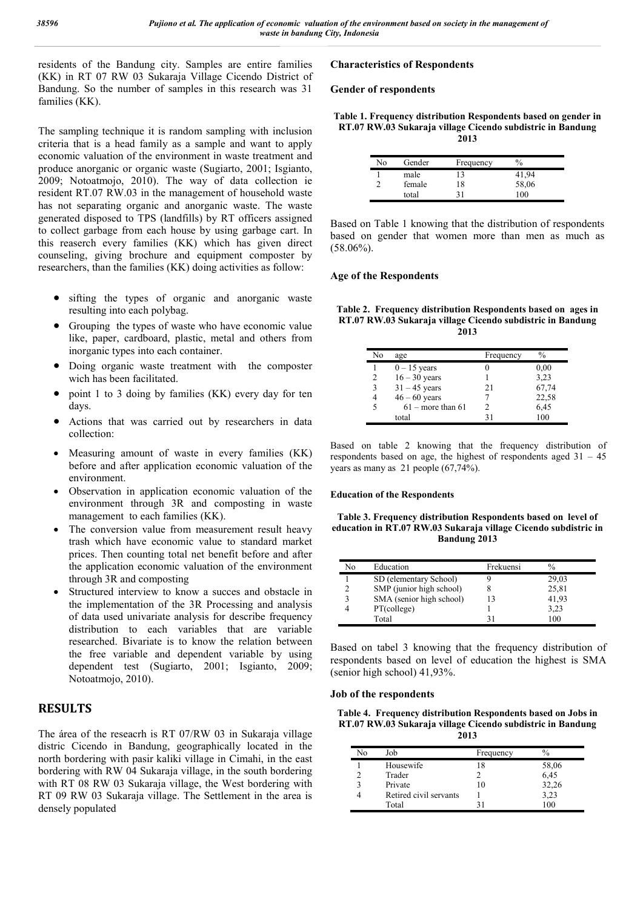residents of the Bandung city. Samples are entire families (KK) in RT 07 RW 03 Sukaraja Village Cicendo District of Bandung. So the number of samples in this research was 31 families (KK).

The sampling technique it is random sampling with inclusion criteria that is a head family as a sample and want to apply economic valuation of the environment in waste treatment and produce anorganic or organic waste (Sugiarto, 2001; Isgianto, 2009; Notoatmojo, 2010). The way of data collection ie resident RT.07 RW.03 in the management of household waste has not separating organic and anorganic waste. The waste generated disposed to TPS (landfills) by RT officers assigned to collect garbage from each house by using garbage cart. In this reaserch every families (KK) which has given direct counseling, giving brochure and equipment composter by researchers, than the families (KK) doing activities as follow:

- sifting the types of organic and anorganic waste resulting into each polybag.
- Grouping the types of waste who have economic value like, paper, cardboard, plastic, metal and others from inorganic types into each container.
- Doing organic waste treatment with the composter wich has been facilitated.
- point 1 to 3 doing by families (KK) every day for ten days.
- Actions that was carried out by researchers in data collection:
- Measuring amount of waste in every families (KK) before and after application economic valuation of the environment.
- Observation in application economic valuation of the environment through 3R and composting in waste management to each families (KK).
- The conversion value from measurement result heavy trash which have economic value to standard market prices. Then counting total net benefit before and after the application economic valuation of the environment through 3R and composting
- Structured interview to know a succes and obstacle in the implementation of the 3R Processing and analysis of data used univariate analysis for describe frequency distribution to each variables that are variable researched. Bivariate is to know the relation between the free variable and dependent variable by using dependent test (Sugiarto, 2001; Isgianto, 2009; Notoatmojo, 2010).

# **RESULTS**

The área of the reseacrh is RT 07/RW 03 in Sukaraja village distric Cicendo in Bandung, geographically located in the north bordering with pasir kaliki village in Cimahi, in the east bordering with RW 04 Sukaraja village, in the south bordering with RT 08 RW 03 Sukaraja village, the West bordering with RT 09 RW 03 Sukaraja village. The Settlement in the area is densely populated

### Characteristics of Respondents

#### Gender of respondents

Table 1. Frequency distribution Respondents based on gender in RT.07 RW.03 Sukaraja village Cicendo subdistric in Bandung 2013

| Nο | Gender | Frequency | $\%$  |  |
|----|--------|-----------|-------|--|
|    | male   | 13        | 41,94 |  |
|    | female | 18        | 58,06 |  |
|    | total  | 21        | 100   |  |

Based on Table 1 knowing that the distribution of respondents based on gender that women more than men as much as (58.06%).

#### Age of the Respondents

| Table 2. Frequency distribution Respondents based on ages in |  |
|--------------------------------------------------------------|--|
| RT.07 RW.03 Sukaraja village Cicendo subdistric in Bandung   |  |
| 2013                                                         |  |

| Nο | age                 | Frequency | $\frac{0}{0}$ |
|----|---------------------|-----------|---------------|
|    | $0 - 15$ years      |           | 0,00          |
|    | $16 - 30$ years     |           | 3,23          |
| 3  | $31 - 45$ years     | 21        | 67,74         |
|    | $46 - 60$ years     |           | 22,58         |
|    | $61$ – more than 61 |           | 6,45          |
|    | total               | 31        | 100           |

Based on table 2 knowing that the frequency distribution of respondents based on age, the highest of respondents aged 31 – 45 years as many as 21 people (67,74%).

#### Education of the Respondents

Table 3. Frequency distribution Respondents based on level of education in RT.07 RW.03 Sukaraja village Cicendo subdistric in Bandung 2013

| No          | Education                | Frekuensi | $\frac{0}{0}$ |
|-------------|--------------------------|-----------|---------------|
|             | SD (elementary School)   |           | 29,03         |
|             | SMP (junior high school) |           | 25,81         |
| $\mathbf 3$ | SMA (senior high school) |           | 41,93         |
|             | PT(college)              |           | 3.23          |
|             | Total                    |           | 100           |

Based on tabel 3 knowing that the frequency distribution of respondents based on level of education the highest is SMA (senior high school) 41,93%.

#### Job of the respondents

Table 4. Frequency distribution Respondents based on Jobs in RT.07 RW.03 Sukaraja village Cicendo subdistric in Bandung 2013

| No | Job                    | Frequency |       |
|----|------------------------|-----------|-------|
|    | Housewife              | 18        | 58,06 |
|    | Trader                 |           | 6,45  |
|    | Private                | 10        | 32,26 |
|    | Retired civil servants |           | 3,23  |
|    | Total                  |           | 100   |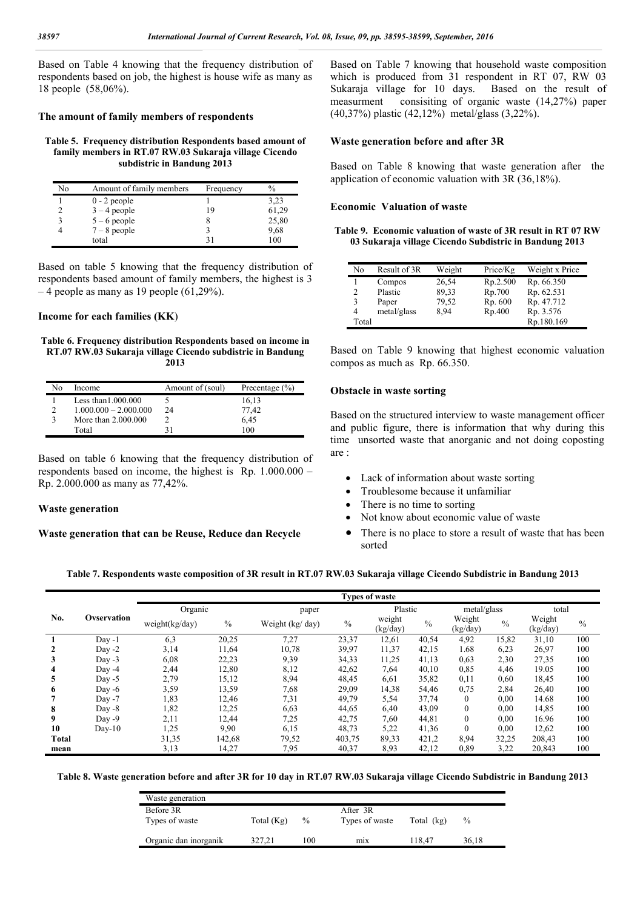Based on Table 4 knowing that the frequency distribution of respondents based on job, the highest is house wife as many as 18 people (58,06%).

#### The amount of family members of respondents

Table 5. Frequency distribution Respondents based amount of family members in RT.07 RW.03 Sukaraja village Cicendo subdistric in Bandung 2013

| No | Amount of family members | Frequency | $\frac{0}{0}$ |
|----|--------------------------|-----------|---------------|
|    | $0 - 2$ people           |           | 3.23          |
|    | $3 - 4$ people           | 19        | 61,29         |
|    | $5 - 6$ people           |           | 25,80         |
| 4  | $7-8$ people             |           | 9.68          |
|    | total                    | 31        | 100           |

Based on table 5 knowing that the frequency distribution of respondents based amount of family members, the highest is 3  $-4$  people as many as 19 people (61,29%).

#### Income for each families (KK)

Table 6. Frequency distribution Respondents based on income in RT.07 RW.03 Sukaraja village Cicendo subdistric in Bandung 2013

| Nο | Income                  | Amount of (soul) | Precentage $(\% )$ |
|----|-------------------------|------------------|--------------------|
|    | Less than $1.000.000$   |                  | 16.13              |
| 2  | $1.000.000 - 2.000.000$ | 24               | 77.42              |
| 3  | More than 2,000,000     |                  | 6.45               |
|    | Total                   |                  | 100                |

Based on table 6 knowing that the frequency distribution of respondents based on income, the highest is Rp. 1.000.000 – Rp. 2.000.000 as many as 77,42%.

#### Waste generation

Waste generation that can be Reuse, Reduce dan Recycle

Based on Table 7 knowing that household waste composition which is produced from 31 respondent in RT 07, RW 03<br>Sukaraja village for 10 days. Based on the result of Sukaraja village for 10 days. measurment consisiting of organic waste (14,27%) paper (40,37%) plastic (42,12%) metal/glass (3,22%).

#### Waste generation before and after 3R

Based on Table 8 knowing that waste generation after the application of economic valuation with 3R (36,18%).

#### Economic Valuation of waste

Table 9. Economic valuation of waste of 3R result in RT 07 RW 03 Sukaraja village Cicendo Subdistric in Bandung 2013

| No    | Result of 3R | Weight | Price/Kg | Weight x Price |
|-------|--------------|--------|----------|----------------|
|       | Compos       | 26,54  | Rp.2.500 | Rp. 66.350     |
| 2     | Plastic      | 89,33  | Rp.700   | Rp. 62.531     |
| 3     | Paper        | 79,52  | Rp. 600  | Rp. 47.712     |
| 4     | metal/glass  | 8.94   | Rp.400   | Rp. 3.576      |
| Total |              |        |          | Rp.180.169     |

Based on Table 9 knowing that highest economic valuation compos as much as Rp. 66.350.

#### Obstacle in waste sorting

Based on the structured interview to waste management officer and public figure, there is information that why during this time unsorted waste that anorganic and not doing coposting are :

- Lack of information about waste sorting
- Troublesome because it unfamiliar
- There is no time to sorting
- Not know about economic value of waste
- There is no place to store a result of waste that has been sorted

#### Table 7. Respondents waste composition of 3R result in RT.07 RW.03 Sukaraja village Cicendo Subdistric in Bandung 2013

|              |             | <b>Types of waste</b> |               |                  |               |                    |               |                    |               |                    |               |  |
|--------------|-------------|-----------------------|---------------|------------------|---------------|--------------------|---------------|--------------------|---------------|--------------------|---------------|--|
|              |             | Organic               |               | paper            |               |                    | Plastic       |                    | metal/glass   |                    | total         |  |
| No.          | Ovservation | weight(kg/day)        | $\frac{0}{0}$ | Weight (kg/ day) | $\frac{0}{0}$ | weight<br>(kg/day) | $\frac{0}{0}$ | Weight<br>(kg/day) | $\frac{0}{0}$ | Weight<br>(kg/day) | $\frac{0}{0}$ |  |
|              | $Day -1$    | 6,3                   | 20,25         | 7,27             | 23,37         | 12,61              | 40,54         | 4,92               | 15,82         | 31,10              | 100           |  |
| 2            | Day $-2$    | 3,14                  | 11,64         | 10,78            | 39,97         | 11,37              | 42,15         | 1.68               | 6,23          | 26,97              | 100           |  |
| 3            | Day $-3$    | 6,08                  | 22,23         | 9,39             | 34,33         | 11,25              | 41,13         | 0,63               | 2,30          | 27,35              | 100           |  |
| 4            | Day $-4$    | 2,44                  | 12,80         | 8,12             | 42,62         | 7,64               | 40,10         | 0,85               | 4,46          | 19.05              | 100           |  |
| 5            | Day $-5$    | 2,79                  | 15,12         | 8,94             | 48,45         | 6,61               | 35,82         | 0,11               | 0,60          | 18,45              | 100           |  |
| 6            | Day $-6$    | 3,59                  | 13,59         | 7,68             | 29,09         | 14,38              | 54,46         | 0,75               | 2,84          | 26,40              | 100           |  |
|              | Day $-7$    | 1,83                  | 12,46         | 7,31             | 49,79         | 5,54               | 37,74         | $\theta$           | 0,00          | 14.68              | 100           |  |
| 8            | Day $-8$    | 1,82                  | 12,25         | 6,63             | 44,65         | 6,40               | 43,09         | $\theta$           | 0,00          | 14,85              | 100           |  |
| 9            | Day $-9$    | 2,11                  | 12,44         | 7,25             | 42,75         | 7,60               | 44,81         | $\theta$           | 0,00          | 16.96              | 100           |  |
| 10           | $Day-10$    | 1,25                  | 9.90          | 6,15             | 48,73         | 5,22               | 41,36         | $\Omega$           | 0,00          | 12,62              | 100           |  |
| <b>Total</b> |             | 31,35                 | 142,68        | 79,52            | 403,75        | 89,33              | 421,2         | 8,94               | 32,25         | 208,43             | 100           |  |
| mean         |             | 3,13                  | 14,27         | 7,95             | 40,37         | 8,93               | 42,12         | 0,89               | 3,22          | 20,843             | 100           |  |

Table 8. Waste generation before and after 3R for 10 day in RT.07 RW.03 Sukaraja village Cicendo Subdistric in Bandung 2013

|              |      | After 3R       |            |       |
|--------------|------|----------------|------------|-------|
| Total $(Kg)$ | $\%$ | Types of waste | Total (kg) | $\%$  |
|              |      |                |            |       |
| 327.21       | 100  | mix            | 118.47     | 36.18 |
|              |      |                |            |       |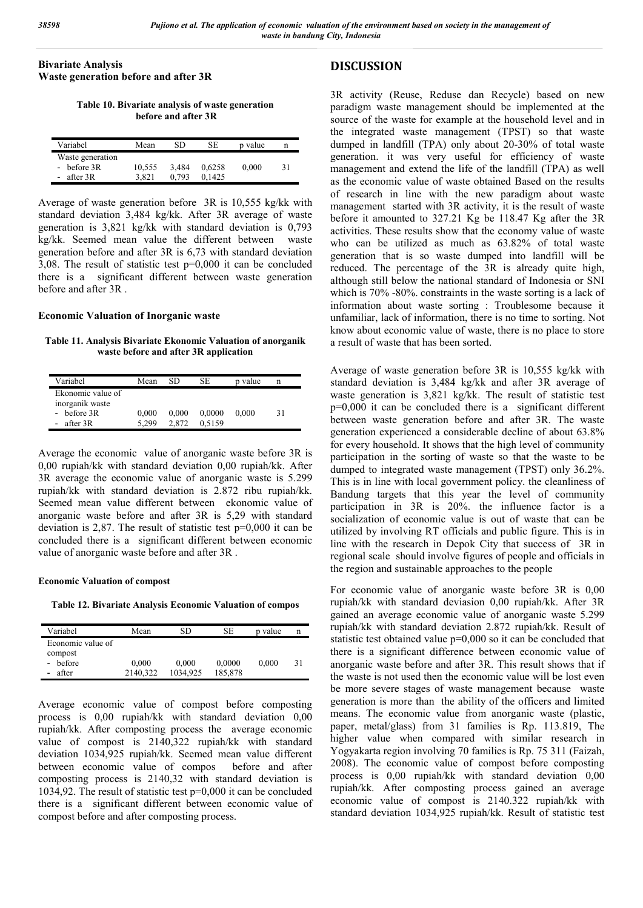Bivariate Analysis Waste generation before and after 3R

Table 10. Bivariate analysis of waste generation before and after 3R

| Variabel         | Mean   | SD    | SE.    | p value |    |
|------------------|--------|-------|--------|---------|----|
| Waste generation |        |       |        |         |    |
| - before $3R$    | 10.555 | 3.484 | 0.6258 | 0.000   | 31 |
| - after $3R$     | 3.821  | 0.793 | 0.1425 |         |    |

Average of waste generation before 3R is 10,555 kg/kk with standard deviation 3,484 kg/kk. After 3R average of waste generation is 3,821 kg/kk with standard deviation is 0,793 kg/kk. Seemed mean value the different between waste generation before and after 3R is 6,73 with standard deviation 3,08. The result of statistic test p=0,000 it can be concluded there is a significant different between waste generation before and after 3R .

#### Economic Valuation of Inorganic waste

Table 11. Analysis Bivariate Ekonomic Valuation of anorganik waste before and after 3R application

| Variabel                                                          | Mean           | SD             | SE               | p value | n  |
|-------------------------------------------------------------------|----------------|----------------|------------------|---------|----|
| Ekonomic value of<br>inorganik waste<br>- before $3R$<br>after 3R | 0,000<br>5.299 | 0,000<br>2.872 | 0.0000<br>0.5159 | 0.000   | 31 |

Average the economic value of anorganic waste before 3R is 0,00 rupiah/kk with standard deviation 0,00 rupiah/kk. After 3R average the economic value of anorganic waste is 5.299 rupiah/kk with standard deviation is 2.872 ribu rupiah/kk. Seemed mean value different between ekonomic value of anorganic waste before and after 3R is 5,29 with standard deviation is 2,87. The result of statistic test p=0,000 it can be concluded there is a significant different between economic value of anorganic waste before and after 3R .

#### Economic Valuation of compost

Table 12. Bivariate Analysis Economic Valuation of compos

| Variabel          | Mean     | SD       | SЕ      | p value | n  |
|-------------------|----------|----------|---------|---------|----|
| Economic value of |          |          |         |         |    |
| compost           |          |          |         |         |    |
| before            | 0,000    | 0.000    | 0,0000  | 0.000   | 31 |
| after             | 2140,322 | 1034.925 | 185,878 |         |    |

Average economic value of compost before composting process is 0,00 rupiah/kk with standard deviation 0,00 rupiah/kk. After composting process the average economic value of compost is 2140,322 rupiah/kk with standard deviation 1034,925 rupiah/kk. Seemed mean value different between economic value of compos before and after composting process is 2140,32 with standard deviation is 1034,92. The result of statistic test p=0,000 it can be concluded there is a significant different between economic value of compost before and after composting process.

# DISCUSSION

3R activity (Reuse, Reduse dan Recycle) based on new paradigm waste management should be implemented at the source of the waste for example at the household level and in the integrated waste management (TPST) so that waste dumped in landfill (TPA) only about 20-30% of total waste generation. it was very useful for efficiency of waste management and extend the life of the landfill (TPA) as well as the economic value of waste obtained Based on the results of research in line with the new paradigm about waste management started with 3R activity, it is the result of waste before it amounted to 327.21 Kg be 118.47 Kg after the 3R activities. These results show that the economy value of waste who can be utilized as much as 63.82% of total waste generation that is so waste dumped into landfill will be reduced. The percentage of the 3R is already quite high, although still below the national standard of Indonesia or SNI which is 70% -80%. constraints in the waste sorting is a lack of information about waste sorting : Troublesome because it unfamiliar, lack of information, there is no time to sorting. Not know about economic value of waste, there is no place to store a result of waste that has been sorted.

Average of waste generation before 3R is 10,555 kg/kk with standard deviation is 3,484 kg/kk and after 3R average of waste generation is 3,821 kg/kk. The result of statistic test p=0,000 it can be concluded there is a significant different between waste generation before and after 3R. The waste generation experienced a considerable decline of about 63.8% for every household. It shows that the high level of community participation in the sorting of waste so that the waste to be dumped to integrated waste management (TPST) only 36.2%. This is in line with local government policy. the cleanliness of Bandung targets that this year the level of community participation in 3R is 20%. the influence factor is a socialization of economic value is out of waste that can be utilized by involving RT officials and public figure. This is in line with the research in Depok City that success of 3R in regional scale should involve figures of people and officials in the region and sustainable approaches to the people

For economic value of anorganic waste before 3R is 0,00 rupiah/kk with standard deviasion 0,00 rupiah/kk. After 3R gained an average economic value of anorganic waste 5.299 rupiah/kk with standard deviation 2.872 rupiah/kk. Result of statistic test obtained value p=0,000 so it can be concluded that there is a significant difference between economic value of anorganic waste before and after 3R. This result shows that if the waste is not used then the economic value will be lost even be more severe stages of waste management because waste generation is more than the ability of the officers and limited means. The economic value from anorganic waste (plastic, paper, metal/glass) from 31 families is Rp. 113.819, The higher value when compared with similar research in Yogyakarta region involving 70 families is Rp. 75 311 (Faizah, 2008). The economic value of compost before composting process is 0,00 rupiah/kk with standard deviation 0,00 rupiah/kk. After composting process gained an average economic value of compost is 2140.322 rupiah/kk with standard deviation 1034,925 rupiah/kk. Result of statistic test